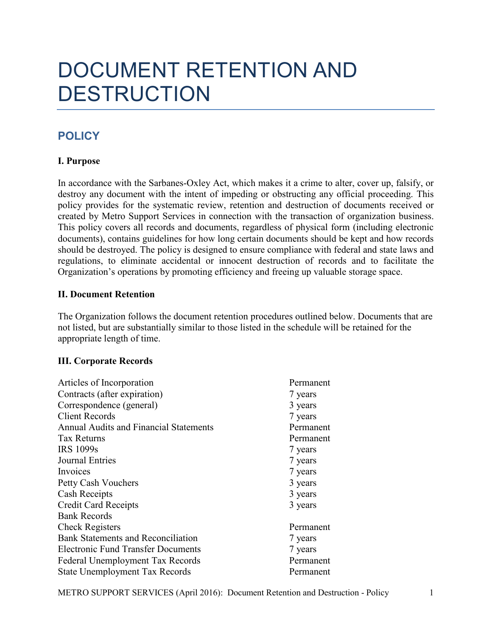# DOCUMENT RETENTION AND **DESTRUCTION**

# **POLICY**

# **I. Purpose**

In accordance with the Sarbanes-Oxley Act, which makes it a crime to alter, cover up, falsify, or destroy any document with the intent of impeding or obstructing any official proceeding. This policy provides for the systematic review, retention and destruction of documents received or created by Metro Support Services in connection with the transaction of organization business. This policy covers all records and documents, regardless of physical form (including electronic documents), contains guidelines for how long certain documents should be kept and how records should be destroyed. The policy is designed to ensure compliance with federal and state laws and regulations, to eliminate accidental or innocent destruction of records and to facilitate the Organization's operations by promoting efficiency and freeing up valuable storage space.

## **II. Document Retention**

The Organization follows the document retention procedures outlined below. Documents that are not listed, but are substantially similar to those listed in the schedule will be retained for the appropriate length of time.

## **III. Corporate Records**

| Articles of Incorporation                     | Permanent |
|-----------------------------------------------|-----------|
| Contracts (after expiration)                  | 7 years   |
| Correspondence (general)                      | 3 years   |
| <b>Client Records</b>                         | 7 years   |
| <b>Annual Audits and Financial Statements</b> | Permanent |
| Tax Returns                                   | Permanent |
| <b>IRS 1099s</b>                              | 7 years   |
| <b>Journal Entries</b>                        | 7 years   |
| Invoices                                      | 7 years   |
| Petty Cash Vouchers                           | 3 years   |
| <b>Cash Receipts</b>                          | 3 years   |
| <b>Credit Card Receipts</b>                   | 3 years   |
| <b>Bank Records</b>                           |           |
| <b>Check Registers</b>                        | Permanent |
| <b>Bank Statements and Reconciliation</b>     | 7 years   |
| <b>Electronic Fund Transfer Documents</b>     | 7 years   |
| Federal Unemployment Tax Records              | Permanent |
| <b>State Unemployment Tax Records</b>         | Permanent |